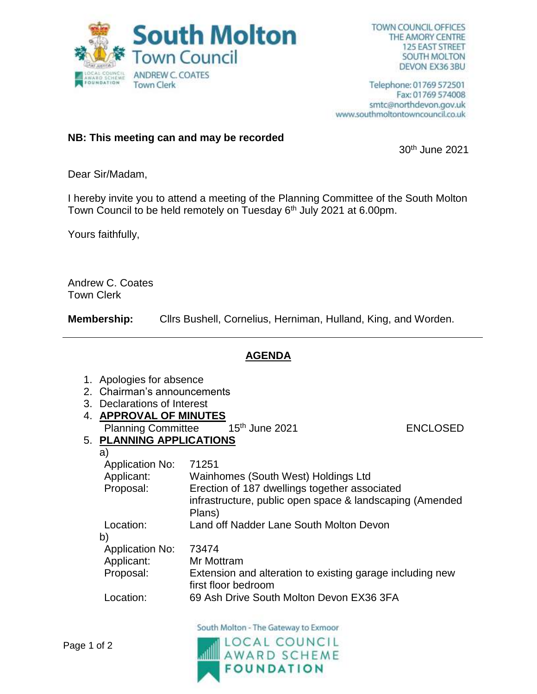

Telephone: 01769 572501 Fax: 01769 574008 smtc@northdevon.gov.uk www.southmoltontowncouncil.co.uk

## **NB: This meeting can and may be recorded**

30th June 2021

Dear Sir/Madam,

I hereby invite you to attend a meeting of the Planning Committee of the South Molton Town Council to be held remotely on Tuesday 6<sup>th</sup> July 2021 at 6.00pm.

Yours faithfully,

Andrew C. Coates Town Clerk

**Membership:** Cllrs Bushell, Cornelius, Herniman, Hulland, King, and Worden.

## **AGENDA**

- 1. Apologies for absence
- 2. Chairman's announcements
- 3. Declarations of Interest
- 4. **APPROVAL OF MINUTES**
	- Planning Committee 15<sup>th</sup> June 2021 **ENCLOSED**

## 5. **PLANNING APPLICATIONS**

a)

| a <sub>l</sub>         |                                                                                  |
|------------------------|----------------------------------------------------------------------------------|
| <b>Application No:</b> | 71251                                                                            |
| Applicant:             | Wainhomes (South West) Holdings Ltd                                              |
| Proposal:              | Erection of 187 dwellings together associated                                    |
|                        | infrastructure, public open space & landscaping (Amended<br>Plans)               |
| Location:              | Land off Nadder Lane South Molton Devon                                          |
| b)                     |                                                                                  |
| <b>Application No:</b> | 73474                                                                            |
| Applicant:             | Mr Mottram                                                                       |
| Proposal:              | Extension and alteration to existing garage including new<br>first floor bedroom |
| Location:              | 69 Ash Drive South Molton Devon EX36 3FA                                         |
|                        |                                                                                  |

South Molton - The Gateway to Exmoor